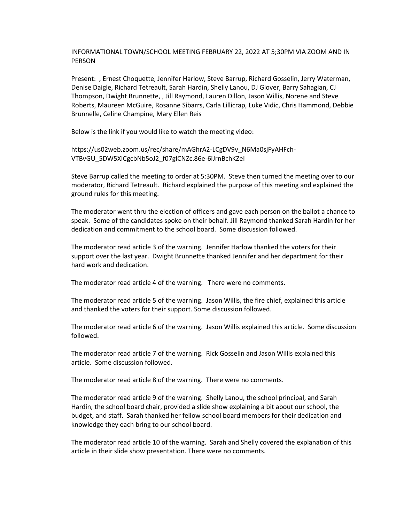INFORMATIONAL TOWN/SCHOOL MEETING FEBRUARY 22, 2022 AT 5;30PM VIA ZOOM AND IN PERSON

Present: , Ernest Choquette, Jennifer Harlow, Steve Barrup, Richard Gosselin, Jerry Waterman, Denise Daigle, Richard Tetreault, Sarah Hardin, Shelly Lanou, DJ Glover, Barry Sahagian, CJ Thompson, Dwight Brunnette, , Jill Raymond, Lauren Dillon, Jason Willis, Norene and Steve Roberts, Maureen McGuire, Rosanne Sibarrs, Carla Lillicrap, Luke Vidic, Chris Hammond, Debbie Brunnelle, Celine Champine, Mary Ellen Reis

Below is the link if you would like to watch the meeting video:

https://us02web.zoom.us/rec/share/mAGhrA2-LCgDV9v\_N6Ma0sjFyAHFch-VTBvGU\_5DW5XICgcbNb5oJ2\_f07glCNZc.86e-6iJrnBchKZeI

Steve Barrup called the meeting to order at 5:30PM. Steve then turned the meeting over to our moderator, Richard Tetreault. Richard explained the purpose of this meeting and explained the ground rules for this meeting.

The moderator went thru the election of officers and gave each person on the ballot a chance to speak. Some of the candidates spoke on their behalf. Jill Raymond thanked Sarah Hardin for her dedication and commitment to the school board. Some discussion followed.

The moderator read article 3 of the warning. Jennifer Harlow thanked the voters for their support over the last year. Dwight Brunnette thanked Jennifer and her department for their hard work and dedication.

The moderator read article 4 of the warning. There were no comments.

The moderator read article 5 of the warning. Jason Willis, the fire chief, explained this article and thanked the voters for their support. Some discussion followed.

The moderator read article 6 of the warning. Jason Willis explained this article. Some discussion followed.

The moderator read article 7 of the warning. Rick Gosselin and Jason Willis explained this article. Some discussion followed.

The moderator read article 8 of the warning. There were no comments.

The moderator read article 9 of the warning. Shelly Lanou, the school principal, and Sarah Hardin, the school board chair, provided a slide show explaining a bit about our school, the budget, and staff. Sarah thanked her fellow school board members for their dedication and knowledge they each bring to our school board.

The moderator read article 10 of the warning. Sarah and Shelly covered the explanation of this article in their slide show presentation. There were no comments.